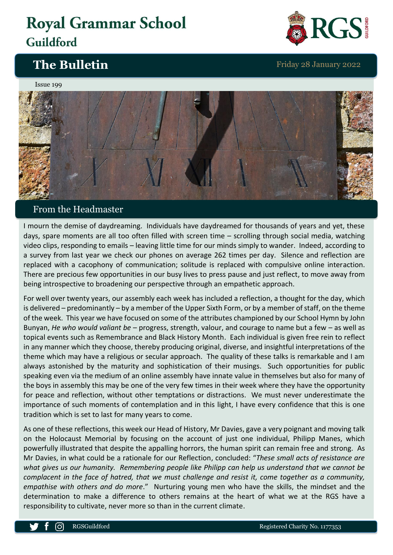# **Royal Grammar School** Guildford

## **The Bulletin** Friday 28 January 2022



#### Issue 199



### From the Headmaster

I mourn the demise of daydreaming. Individuals have daydreamed for thousands of years and yet, these days, spare moments are all too often filled with screen time – scrolling through social media, watching video clips, responding to emails – leaving little time for our minds simply to wander. Indeed, according to a survey from last year we check our phones on average 262 times per day. Silence and reflection are replaced with a cacophony of communication; solitude is replaced with compulsive online interaction. There are precious few opportunities in our busy lives to press pause and just reflect, to move away from being introspective to broadening our perspective through an empathetic approach.

For well over twenty years, our assembly each week has included a reflection, a thought for the day, which is delivered – predominantly – by a member of the Upper Sixth Form, or by a member of staff, on the theme of the week. This year we have focused on some of the attributes championed by our School Hymn by John Bunyan, *He who would valiant be* – progress, strength, valour, and courage to name but a few – as well as topical events such as Remembrance and Black History Month. Each individual is given free rein to reflect in any manner which they choose, thereby producing original, diverse, and insightful interpretations of the theme which may have a religious or secular approach. The quality of these talks is remarkable and I am always astonished by the maturity and sophistication of their musings. Such opportunities for public speaking even via the medium of an online assembly have innate value in themselves but also for many of the boys in assembly this may be one of the very few times in their week where they have the opportunity for peace and reflection, without other temptations or distractions. We must never underestimate the importance of such moments of contemplation and in this light, I have every confidence that this is one tradition which is set to last for many years to come.

As one of these reflections, this week our Head of History, Mr Davies, gave a very poignant and moving talk on the Holocaust Memorial by focusing on the account of just one individual, Philipp Manes, which powerfully illustrated that despite the appalling horrors, the human spirit can remain free and strong. As Mr Davies, in what could be a rationale for our Reflection, concluded: "*These small acts of resistance are what gives us our humanity. Remembering people like Philipp can help us understand that we cannot be complacent in the face of hatred, that we must challenge and resist it, come together as a community, empathise with others and do more*." Nurturing young men who have the skills, the mindset and the determination to make a difference to others remains at the heart of what we at the RGS have a responsibility to cultivate, never more so than in the current climate.